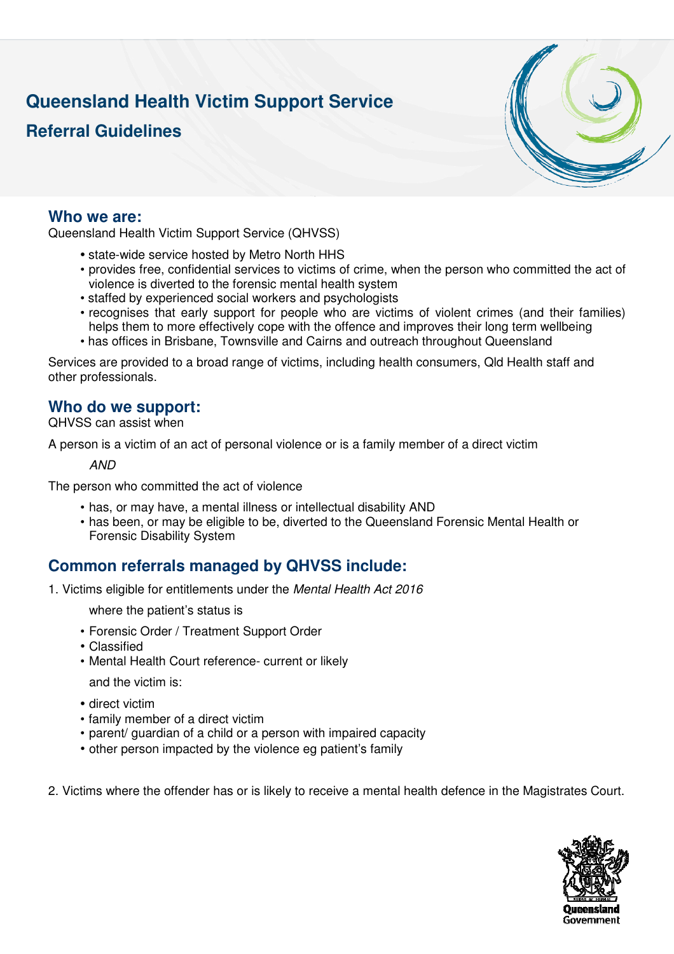# **Queensland Health Victim Support Service**

## **Referral Guidelines**



#### **Who we are:**

Queensland Health Victim Support Service (QHVSS)

- state-wide service hosted by Metro North HHS
- provides free, confidential services to victims of crime, when the person who committed the act of violence is diverted to the forensic mental health system
- staffed by experienced social workers and psychologists
- recognises that early support for people who are victims of violent crimes (and their families) helps them to more effectively cope with the offence and improves their long term wellbeing
- has offices in Brisbane, Townsville and Cairns and outreach throughout Queensland

Services are provided to a broad range of victims, including health consumers, Qld Health staff and other professionals.

### **Who do we support:**

QHVSS can assist when

A person is a victim of an act of personal violence or is a family member of a direct victim

AND

The person who committed the act of violence

- has, or may have, a mental illness or intellectual disability AND
- has been, or may be eligible to be, diverted to the Queensland Forensic Mental Health or Forensic Disability System

### **Common referrals managed by QHVSS include:**

1. Victims eligible for entitlements under the Mental Health Act 2016

where the patient's status is

- Forensic Order / Treatment Support Order
- Classified
- Mental Health Court reference- current or likely

and the victim is:

- direct victim
- family member of a direct victim
- parent/ guardian of a child or a person with impaired capacity
- other person impacted by the violence eg patient's family

2. Victims where the offender has or is likely to receive a mental health defence in the Magistrates Court.